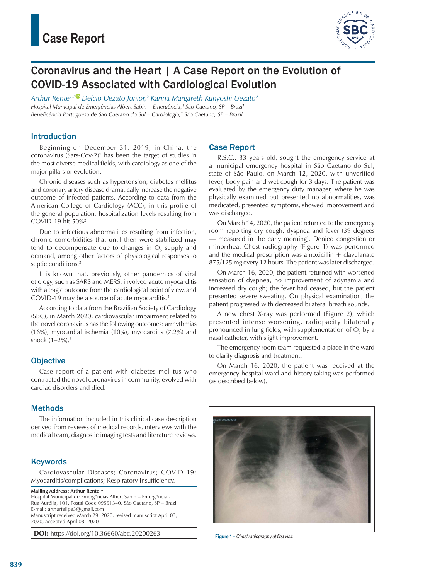

# Coronavirus and the Heart | A Case Report on the Evolution of COVID-19 Associated with Cardiological Evolution

*Arthur Rente1,[2](https://orcid.org/0000-0003-4238-4746) Delcio Uezato Junior,2 Karina Margareth Kunyoshi Uezato2 Hospital Municipal de Emergências Albert Sabin – Emergência,1 São Caetano, SP – Brazil* Beneficência Portuguesa de São Caetano do Sul – Cardiologia,<sup>2</sup> São Caetano, SP – Brazil

#### Introduction

Beginning on December 31, 2019, in China, the coronavirus (Sars-Cov-2)1 has been the target of studies in the most diverse medical fields, with cardiology as one of the major pillars of evolution.

Chronic diseases such as hypertension, diabetes mellitus and coronary artery disease dramatically increase the negative outcome of infected patients. According to data from the American College of Cardiology (ACC), in this profile of the general population, hospitalization levels resulting from COVID-19 hit 50%2

Due to infectious abnormalities resulting from infection, chronic comorbidities that until then were stabilized may tend to decompensate due to changes in  $\mathrm{O}_2$  supply and demand, among other factors of physiological responses to septic conditions.<sup>3</sup>

It is known that, previously, other pandemics of viral etiology, such as SARS and MERS, involved acute myocarditis with a tragic outcome from the cardiological point of view, and COVID-19 may be a source of acute myocarditis.4

According to data from the Brazilian Society of Cardiology (SBC), in March 2020, cardiovascular impairment related to the novel coronavirus has the following outcomes: arrhythmias (16%), myocardial ischemia (10%), myocarditis (7.2%) and shock (1–2%).5

### **Objective**

Case report of a patient with diabetes mellitus who contracted the novel coronavirus in community, evolved with cardiac disorders and died.

### Methods

The information included in this clinical case description derived from reviews of medical records, interviews with the medical team, diagnostic imaging tests and literature reviews.

### **Keywords**

Cardiovascular Diseases; Coronavirus; COVID 19; Myocarditis/complications; Respiratory Insufficiency.

**Mailing Address: Arthur Rente** • Hospital Municipal de Emergências Albert Sabin – Emergência - Rua Aurélia, 101. Postal Code 09551340, São Caetano, SP – Brazil E-mail: [arthurfelipe3@gmail.com](mailto:arthurfelipe3@gmail.com) Manuscript received March 29, 2020, revised manuscript April 03, 2020, accepted April 08, 2020

**DOI:** https://doi.org/10.36660/abc.20200263 **Figure 1 – Chest radiography at first visit** 

#### Case Report

R.S.C., 33 years old, sought the emergency service at a municipal emergency hospital in São Caetano do Sul, state of São Paulo, on March 12, 2020, with unverified fever, body pain and wet cough for 3 days. The patient was evaluated by the emergency duty manager, where he was physically examined but presented no abnormalities, was medicated, presented symptoms, showed improvement and was discharged.

On March 14, 2020, the patient returned to the emergency room reporting dry cough, dyspnea and fever (39 degrees — measured in the early morning). Denied congestion or rhinorrhea. Chest radiography (Figure 1) was performed and the medical prescription was amoxicillin  $+$  clavulanate 875/125 mg every 12 hours. The patient was later discharged.

On March 16, 2020, the patient returned with worsened sensation of dyspnea, no improvement of adynamia and increased dry cough; the fever had ceased, but the patient presented severe sweating. On physical examination, the patient progressed with decreased bilateral breath sounds.

A new chest X-ray was performed (Figure 2), which presented intense worsening, radiopacity bilaterally pronounced in lung fields, with supplementation of  $O_2$  by a nasal catheter, with slight improvement.

The emergency room team requested a place in the ward to clarify diagnosis and treatment.

On March 16, 2020, the patient was received at the emergency hospital ward and history-taking was performed (as described below).

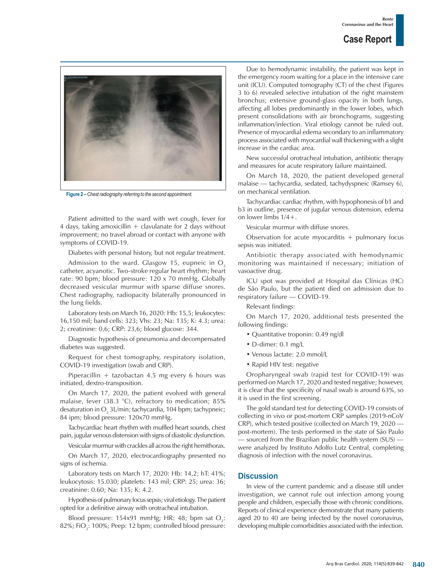

**Figure 2 –***Chest radiography referring to the second appointment.*

Patient admitted to the ward with wet cough, fever for 4 days, taking amoxicillin  $+$  clavulanate for 2 days without improvement; no travel abroad or contact with anyone with symptoms of COVID-19.

Diabetes with personal history, but not regular treatment.

Admission to the ward. Glasgow 15, eupneic in  $O<sub>2</sub>$ catheter, acyanotic. Two-stroke regular heart rhythm; heart rate: 90 bpm; blood pressure: 120 x 70 mmHg. Globally decreased vesicular murmur with sparse diffuse snores. Chest radiography, radiopacity bilaterally pronounced in the lung fields.

Laboratory tests on March 16, 2020: Hb: 15,5; leukocytes: 16,150 mil; band cells: 323; Vhs: 23; Na: 135; K: 4.3; urea: 2; creatinine: 0,6; CRP: 23,6; blood glucose: 344.

Diagnostic hypothesis of pneumonia and decompensated diabetes was suggested.

Request for chest tomography, respiratory isolation, COVID-19 investigation (swab and CRP).

Piperacillin + tazobactan 4.5 mg every 6 hours was initiated, dextro-transposition.

On March 17, 2020, the patient evolved with general malaise, fever (38.3 °C), refractory to medication; 85% desaturation in O $_{\tiny 2}$  3L/min; tachycardia, 104 bpm; tachypneic; 84 ipm; blood pressure: 120x70 mmHg.

Tachycardiac heart rhythm with muffled heart sounds, chest pain, jugular venous distension with signs of diastolic dysfunction.

Vesicular murmur with crackles all across the right hemithorax.

On March 17, 2020, electrocardiography presented no signs of ischemia.

Laboratory tests on March 17, 2020: Hb: 14,2; hT: 41%; leukocytosis: 15.030; platelets: 143 mil; CRP: 25; urea: 36; creatinine: 0.60; Na: 135; K: 4.2.

Hypothesis of pulmonary focus sepsis; viral etiology. The patient opted for a definitive airway with orotracheal intubation.

Blood pressure: 154x91 mmHg; HR: 48; bpm sat  $O_2$ : 82%; FiO $_2^{\cdot}$ : 100%; Peep: 12 bpm; controlled blood pressure:

Due to hemodynamic instability, the patient was kept in the emergency room waiting for a place in the intensive care unit (ICU). Computed tomography (CT) of the chest (Figures 3 to 6) revealed selective intubation of the right mainstem bronchus; extensive ground-glass opacity in both lungs, affecting all lobes predominantly in the lower lobes, which present consolidations with air bronchograms, suggesting inflammation/infection. Viral etiology cannot be ruled out. Presence of myocardial edema secondary to an inflammatory process associated with myocardial wall thickening with a slight increase in the cardiac area.

New successful orotracheal intubation, antibiotic therapy and measures for acute respiratory failure maintained.

On March 18, 2020, the patient developed general malaise — tachycardia, sedated, tachydyspneic (Ramsey 6), on mechanical ventilation.

Tachycardiac cardiac rhythm, with hypophonesis of b1 and b3 in outline, presence of jugular venous distension, edema on lower limbs 1/4+.

Vesicular murmur with diffuse snores.

Observation for acute myocarditis  $+$  pulmonary focus sepsis was initiated.

Antibiotic therapy associated with hemodynamic monitoring was maintained if necessary; initiation of vasoactive drug.

ICU spot was provided at Hospital das Clínicas (HC) de São Paulo, but the patient died on admission due to respiratory failure — COVID-19.

Relevant findings:

On March 17, 2020, additional tests presented the following findings:

- Quantitative troponin: 0.49 ng/dl
- D-dimer: 0.1 mg/L
- Venous lactate: 2.0 mmol/L
- Rapid HIV test: negative

Oropharyngeal swab (rapid test for COVID-19) was performed on March 17, 2020 and tested negative; however, it is clear that the specificity of nasal swab is around 63%, so it is used in the first screening.

The gold standard test for detecting COVID-19 consists of collecting in vivo or post-mortem CRP samples (2019-nCoV CRP), which tested positive (collected on March 19, 2020 post-mortem). The tests performed in the state of São Paulo — sourced from the Brazilian public health system (SUS) were analyzed by Instituto Adolfo Lutz Central, completing diagnosis of infection with the novel coronavirus.

#### **Discussion**

In view of the current pandemic and a disease still under investigation, we cannot rule out infection among young people and children, especially those with chronic conditions. Reports of clinical experience demonstrate that many patients aged 20 to 40 are being infected by the novel coronavirus, developing multiple comorbidities associated with the infection.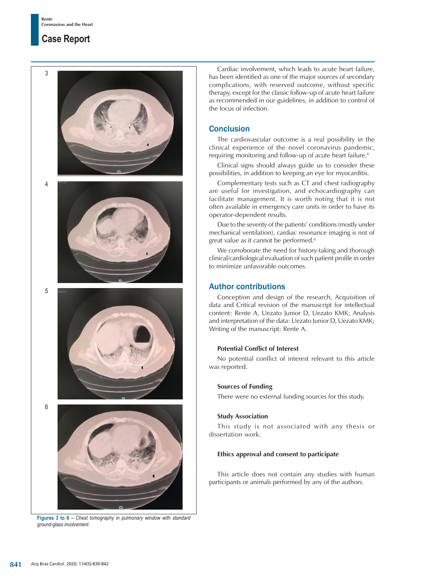## **Case Report**



**Figures 3 to 6 –** *Chest tomography in pulmonary window with standard ground-glass involvement.*

Cardiac involvement, which leads to acute heart failure, has been identified as one of the major sources of secondary complications, with reserved outcome, without specific therapy, except for the classic follow-up of acute heart failure as recommended in our guidelines, in addition to control of the focus of infection.

### **Conclusion**

The cardiovascular outcome is a real possibility in the clinical experience of the novel coronavirus pandemic, requiring monitoring and follow-up of acute heart failure.<sup>6</sup>

Clinical signs should always guide us to consider these possibilities, in addition to keeping an eye for myocarditis.

Complementary tests such as CT and chest radiography are useful for investigation, and echocardiography can facilitate management. It is worth noting that it is not often available in emergency care units in order to have its operator-dependent results.

Due to the severity of the patients' conditions (mostly under mechanical ventilation), cardiac resonance imaging is not of great value as it cannot be performed.<sup>6</sup>

We corroborate the need for history-taking and thorough clinical/cardiological evaluation of such patient profile in order to minimize unfavorable outcomes.

### Author contributions

Conception and design of the research, Acquisition of data and Critical revision of the manuscript for intellectual content: Rente A, Uezato Junior D, Uezato KMK; Analysis and interpretation of the data: Uezato Junior D, Uezato KMK; Writing of the manuscript: Rente A.

### **Potential Conflict of Interest**

No potential conflict of interest relevant to this article was reported.

### **Sources of Funding**

There were no external funding sources for this study.

### **Study Association**

This study is not associated with any thesis or dissertation work.

### **Ethics approval and consent to participate**

This article does not contain any studies with human participants or animals performed by any of the authors.